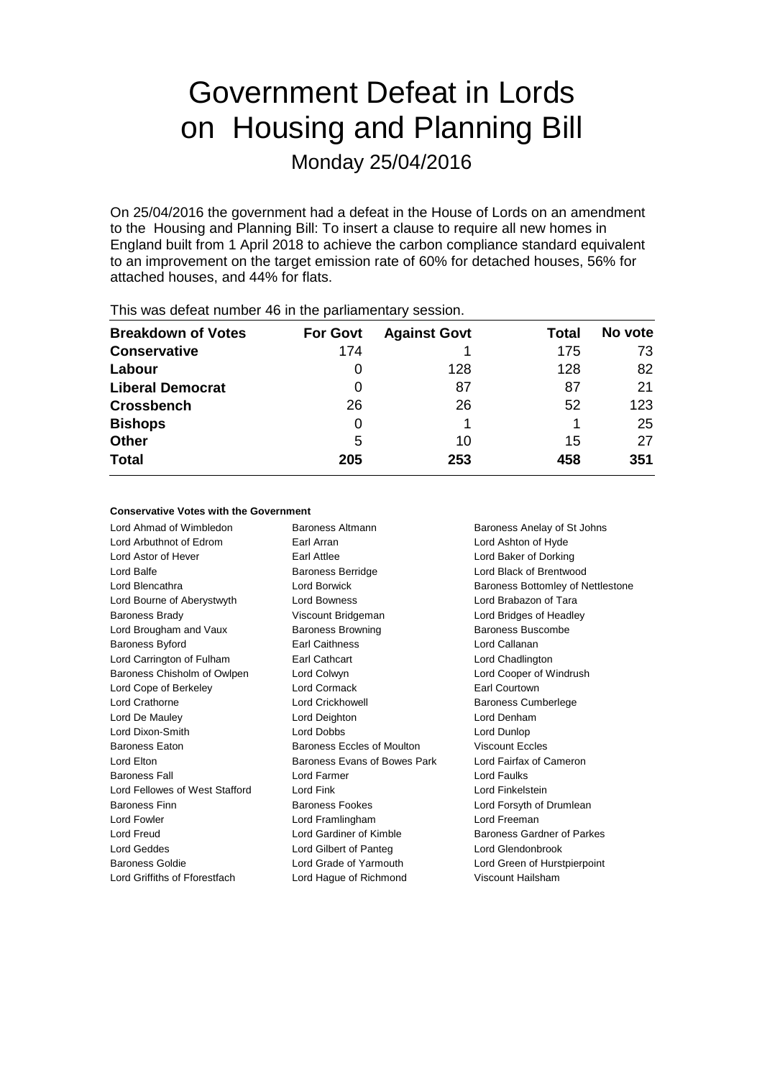# Government Defeat in Lords on Housing and Planning Bill

Monday 25/04/2016

On 25/04/2016 the government had a defeat in the House of Lords on an amendment to the Housing and Planning Bill: To insert a clause to require all new homes in England built from 1 April 2018 to achieve the carbon compliance standard equivalent to an improvement on the target emission rate of 60% for detached houses, 56% for attached houses, and 44% for flats.

|                           |                 |                     |       | No vote |
|---------------------------|-----------------|---------------------|-------|---------|
| <b>Breakdown of Votes</b> | <b>For Govt</b> | <b>Against Govt</b> | Total |         |
| <b>Conservative</b>       | 174             |                     | 175   | 73      |
| Labour                    | 0               | 128                 | 128   | 82      |
| <b>Liberal Democrat</b>   | 0               | 87                  | 87    | 21      |
| <b>Crossbench</b>         | 26              | 26                  | 52    | 123     |
| <b>Bishops</b>            | 0               |                     |       | 25      |
| Other                     | 5               | 10                  | 15    | 27      |
| <b>Total</b>              | 205             | 253                 | 458   | 351     |

This was defeat number 46 in the parliamentary session.

### **Conservative Votes with the Government**

Lord Ahmad of Wimbledon Baroness Altmann Baroness Anelay of St Johns Lord Arbuthnot of Edrom Earl Arran Lord Ashton of Hyde Lord Astor of Hever Earl Attlee Lord Baker of Dorking Lord Balfe **Baroness Berridge** Lord Black of Brentwood Lord Bourne of Aberystwyth Lord Bowness Lord Brabazon of Tara Baroness Brady **Marting Community** Viscount Bridgeman **Lord Bridges of Headley** Lord Brougham and Vaux Baroness Browning Baroness Buscombe Baroness Byford Earl Caithness Lord Callanan Lord Carrington of Fulham Earl Cathcart Lord Chadlington Baroness Chisholm of Owlpen Lord Colwyn Lord Cooper of Windrush Lord Cope of Berkeley Lord Cormack Earl Courtown Lord Crathorne Lord Crickhowell Baroness Cumberlege Lord De Mauley Lord Deighton Lord Denham Lord Dixon-Smith Lord Dobbs Lord Dunlop Baroness Eaton **Baroness Eccles of Moulton** Viscount Eccles Lord Elton Baroness Evans of Bowes Park Lord Fairfax of Cameron Baroness Fall Lord Farmer Lord Faulks Lord Fellowes of West Stafford Lord Fink Lord Finkelstein Baroness Finn **Baroness Fookes** Lord Forsyth of Drumlean Lord Fowler Lord Framlingham Lord Freeman Lord Freud **Lord Gardiner of Kimble** Baroness Gardner of Parkes Lord Geddes Lord Gilbert of Panteg Lord Glendonbrook Baroness Goldie Lord Grade of Yarmouth Lord Green of Hurstpierpoint

Lord Griffiths of Fforestfach Lord Hague of Richmond Viscount Hailsham

Lord Blencathra **Lord Borwick** Baroness Bottomley of Nettlestone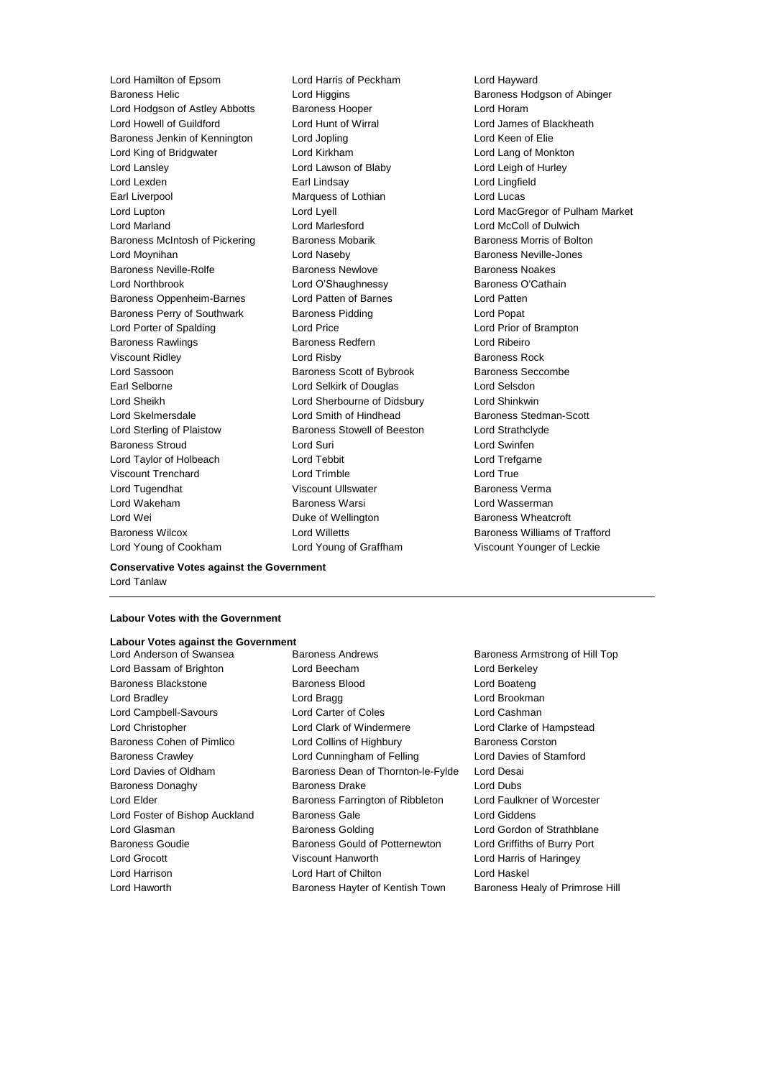Baroness Helic **Lord Higgins** Communications Baroness Hodgson of Abinger Lord Hodgson of Astley Abbotts Baroness Hooper Lord Horam Lord Howell of Guildford Lord Hunt of Wirral Lord James of Blackheath Baroness Jenkin of Kennington Lord Jopling Communication Lord Keen of Elie Lord King of Bridgwater Lord Kirkham Lord Lang of Monkton Lord Lansley Lord Lawson of Blaby Lord Leigh of Hurley Lord Lexden **Earl Lindsay** Early Lord Lingfield Earl Liverpool Marquess of Lothian Lord Lucas Lord Lupton Lord Lyell Lord MacGregor of Pulham Market Lord Marland Lord Marlesford Lord McColl of Dulwich Baroness McIntosh of Pickering Baroness Mobarik Baroness Morris of Bolton Lord Moynihan Lord Naseby Baroness Neville-Jones Baroness Neville-Rolfe Baroness Newlove Baroness Noakes Lord Northbrook **Lord O'Shaughnessy** Baroness O'Cathain Baroness Oppenheim-Barnes Lord Patten of Barnes Lord Patten Baroness Perry of Southwark Baroness Pidding Lord Popat Lord Porter of Spalding Lord Price Lord Prior of Brampton Baroness Rawlings **Baroness Redfern Baroness Redfern Lord Ribeiro** Viscount Ridley **Community** Lord Risby **Baroness Rock** Lord Sassoon **Baroness Scott of Bybrook** Baroness Seccombe Earl Selborne Lord Selkirk of Douglas Lord Selsdon Lord Sheikh Lord Sherbourne of Didsbury Lord Shinkwin Lord Skelmersdale **Lord Smith of Hindhead** Baroness Stedman-Scott Lord Sterling of Plaistow Baroness Stowell of Beeston Lord Strathclyde Baroness Stroud Lord Suri Lord Swinfen Lord Taylor of Holbeach Lord Tebbit Lord Trefgarne Viscount Trenchard Lord Trimble Lord True Lord Tugendhat Viscount Ullswater Baroness Verma Lord Wakeham Baroness Warsi Lord Wasserman Lord Wei **Duke of Wellington** Baroness Wheatcroft **Duke** of Wellington **Baroness** Wheatcroft Baroness Wilcox Lord Willetts Baroness Williams of Trafford

Lord Hamilton of Epsom Lord Harris of Peckham Lord Hayward Lord Young of Cookham Lord Young of Graffham Viscount Younger of Leckie

**Conservative Votes against the Government** Lord Tanlaw

#### **Labour Votes with the Government**

# **Labour Votes against the Government**

- 
- Lord Bassam of Brighton Lord Beecham Lord Berkeley Baroness Blackstone Baroness Blood Lord Boateng Lord Bradley **Lord Bragg Lord Bragg Lord Brookman** Lord Campbell-Savours Lord Carter of Coles Lord Cashman Lord Christopher Lord Clark of Windermere Lord Clarke of Hampstead Baroness Cohen of Pimlico **Lord Collins of Highbury** Baroness Corston Baroness Crawley **Lord Cunningham of Felling** Lord Davies of Stamford Lord Davies of Oldham Baroness Dean of Thornton-le-Fylde Lord Desai Baroness Donaghy Baroness Drake Lord Dubs Lord Elder **Baroness Farrington of Ribbleton** Lord Faulkner of Worcester Lord Foster of Bishop Auckland Baroness Gale Lord Giddens Lord Glasman **Baroness Golding Class Constructs** Lord Gordon of Strathblane Baroness Goudie **Baroness Gould of Potternewton** Lord Griffiths of Burry Port Lord Grocott Viscount Hanworth Lord Harris of Haringey Lord Harrison Lord Hart of Chilton Lord Haskel Lord Haworth **Baroness Hayter of Kentish Town** Baroness Healy of Primrose Hill
- Baroness Armstrong of Hill Top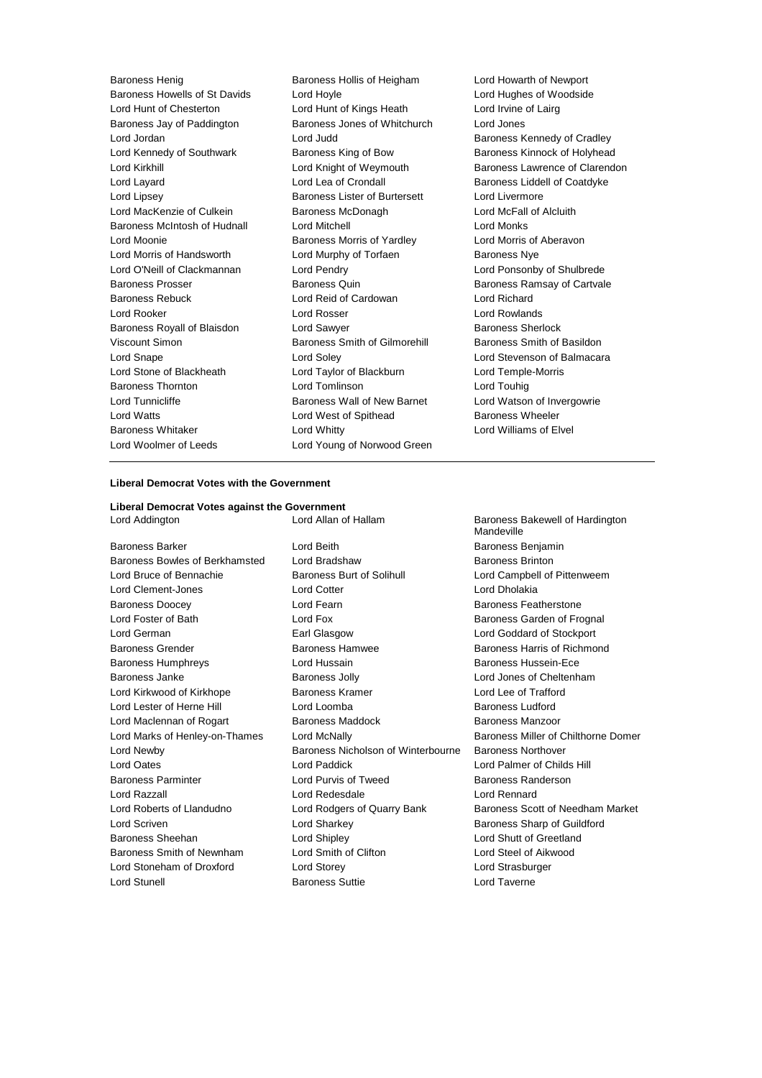Baroness Howells of St Davids Lord Hoyle Lord Hughes of Woodside Lord Hunt of Chesterton Lord Hunt of Kings Heath Lord Irvine of Lairg Baroness Jay of Paddington Baroness Jones of Whitchurch Lord Jones Lord Jordan **Lord Judd Baroness Kennedy of Cradley Lord Judd Baroness Kennedy of Cradley** Lord Kennedy of Southwark Baroness King of Bow Baroness Kinnock of Holyhead Lord Kirkhill **Lord Kirkhill** Lord Knight of Weymouth Baroness Lawrence of Clarendon Lord Layard **Lord Lea of Crondall Lord Lea of Crondall** Baroness Liddell of Coatdyke Lord Lipsey Baroness Lister of Burtersett Lord Livermore Lord MacKenzie of Culkein **Baroness McDonagh** Lord McFall of Alcluith Baroness McIntosh of Hudnall Lord Mitchell Lord Monks Lord Moonie **Baroness Morris of Yardley** Lord Morris of Aberavon Lord Morris of Handsworth Lord Murphy of Torfaen Baroness Nye Lord O'Neill of Clackmannan Lord Pendry Lord Ponsonby of Shulbrede Baroness Prosser Baroness Quin Baroness Ramsay of Cartvale Baroness Rebuck Lord Reid of Cardowan Lord Richard Lord Rooker Lord Rosser Lord Rowlands Baroness Royall of Blaisdon **Lord Sawyer Baroness Sherlock** Viscount Simon Baroness Smith of Gilmorehill Baroness Smith of Basildon Lord Snape Lord Soley Lord Stevenson of Balmacara Lord Stone of Blackheath Lord Taylor of Blackburn Lord Temple-Morris Baroness Thornton Lord Tomlinson Lord Touhig Lord Tunnicliffe **Baroness Wall of New Barnet** Lord Watson of Invergowrie Lord Watts Lord West of Spithead Baroness Wheeler Baroness Whitaker Lord Whitty Lord Williams of Elvel Lord Woolmer of Leeds Lord Young of Norwood Green

Baroness Henig Baroness Hollis of Heigham Lord Howarth of Newport

## **Liberal Democrat Votes with the Government**

**Liberal Democrat Votes against the Government** Lord Addington **Lord Allan of Hallam** Baroness Bakewell of Hardington

Baroness Barker Lord Beith Baroness Benjamin Baroness Bowles of Berkhamsted Lord Bradshaw Baroness Brinton Lord Bruce of Bennachie **Baroness Burt of Solihull** Lord Campbell of Pittenweem Lord Clement-Jones Lord Cotter Lord Dholakia Baroness Doocey **Lord Fearn** Baroness Featherstone Lord Foster of Bath **Lord Fox** Lord Fox **Baroness Garden of Frognal** Lord German Earl Glasgow Lord Goddard of Stockport Baroness Grender Baroness Hamwee Baroness Harris of Richmond Baroness Humphreys Lord Hussain Baroness Hussein-Ece Baroness Janke Baroness Jolly Lord Jones of Cheltenham Lord Kirkwood of Kirkhope Baroness Kramer Lord Lee of Trafford Lord Lester of Herne Hill **Lord Loomba** Lord Loomba Baroness Ludford Lord Maclennan of Rogart Baroness Maddock Baroness Manzoor Lord Newby Baroness Nicholson of Winterbourne Baroness Northover Lord Oates Lord Paddick Lord Palmer of Childs Hill Baroness Parminter Lord Purvis of Tweed Baroness Randerson Lord Razzall Lord Redesdale Lord Rennard Lord Scriven **Lord Sharkey Baroness Sharp of Guildford Lord Sharkey Baroness Sharp of Guildford** Baroness Sheehan Lord Shipley Lord Shutt of Greetland Baroness Smith of Newnham Lord Smith of Clifton Lord Steel of Aikwood Lord Stoneham of Droxford Lord Storey Lord Strasburger Lord Stunell Baroness Suttie Lord Taverne

Mandeville Lord Marks of Henley-on-Thames Lord McNally **Baroness Miller of Chilthorne Domer** Lord Roberts of Llandudno Lord Rodgers of Quarry Bank Baroness Scott of Needham Market